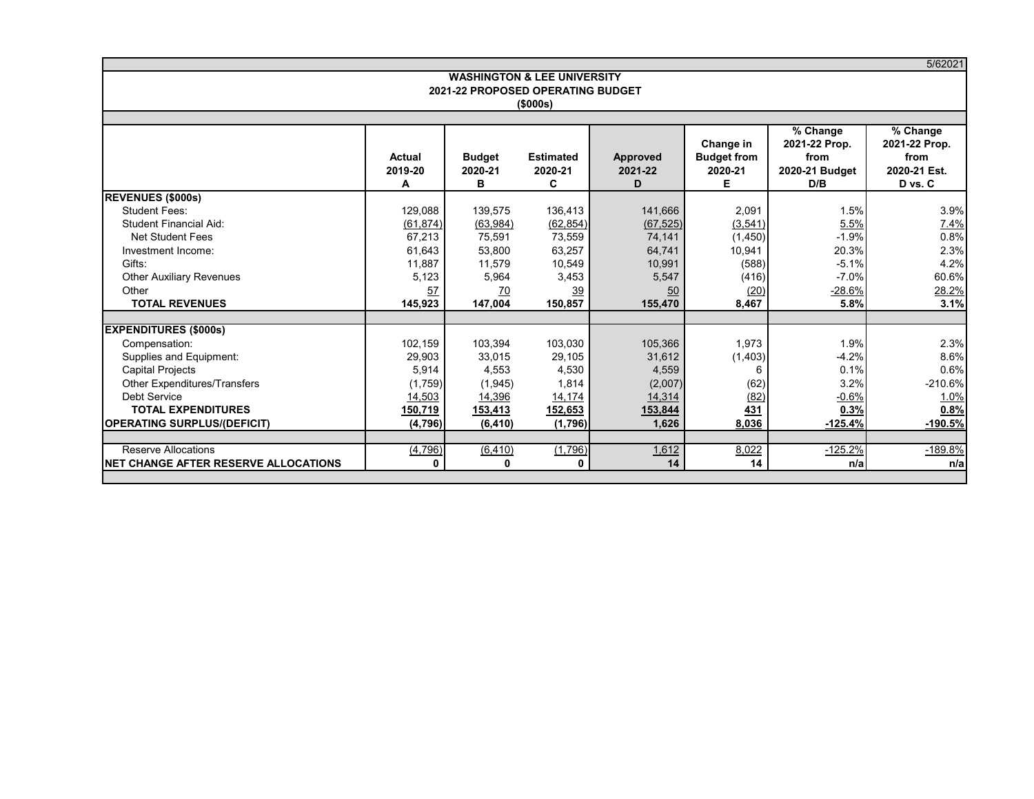|                                                                                  |                                |                                        |                                  |                                |                                                 |                                                            | 5/62021                                                             |
|----------------------------------------------------------------------------------|--------------------------------|----------------------------------------|----------------------------------|--------------------------------|-------------------------------------------------|------------------------------------------------------------|---------------------------------------------------------------------|
|                                                                                  |                                | <b>WASHINGTON &amp; LEE UNIVERSITY</b> |                                  |                                |                                                 |                                                            |                                                                     |
|                                                                                  |                                | 2021-22 PROPOSED OPERATING BUDGET      | (\$000s)                         |                                |                                                 |                                                            |                                                                     |
|                                                                                  |                                |                                        |                                  |                                |                                                 |                                                            |                                                                     |
|                                                                                  | Actual<br>2019-20<br>А         | <b>Budget</b><br>2020-21<br>в          | <b>Estimated</b><br>2020-21<br>C | Approved<br>2021-22<br>D       | Change in<br><b>Budget from</b><br>2020-21<br>Е | % Change<br>2021-22 Prop.<br>from<br>2020-21 Budget<br>D/B | $\sqrt%$ Change<br>2021-22 Prop.<br>from<br>2020-21 Est.<br>D vs. C |
| <b>REVENUES (\$000s)</b>                                                         |                                |                                        |                                  |                                |                                                 |                                                            |                                                                     |
| <b>Student Fees:</b><br><b>Student Financial Aid:</b><br><b>Net Student Fees</b> | 129,088<br>(61, 874)<br>67,213 | 139,575<br>(63,984)<br>75,591          | 136,413<br>(62, 854)<br>73,559   | 141,666<br>(67, 525)<br>74,141 | 2,091<br>(3,541)<br>(1, 450)                    | 1.5%<br>5.5%<br>$-1.9%$                                    | 3.9%<br>7.4%<br>0.8%                                                |
| Investment Income:                                                               | 61.643                         | 53.800                                 | 63,257                           | 64.741                         | 10,941                                          | 20.3%                                                      | 2.3%                                                                |
| Gifts:                                                                           | 11,887                         | 11,579                                 | 10,549                           | 10,991                         | (588)                                           | $-5.1%$                                                    | 4.2%                                                                |
| <b>Other Auxiliary Revenues</b>                                                  | 5,123                          | 5,964                                  | 3,453                            | 5,547                          | (416)                                           | $-7.0%$                                                    | 60.6%                                                               |
| Other                                                                            | 57                             | 70                                     | 39                               | 50                             | (20)                                            | $-28.6%$                                                   | 28.2%                                                               |
| <b>TOTAL REVENUES</b>                                                            | 145,923                        | 147,004                                | 150,857                          | 155,470                        | 8,467                                           | 5.8%                                                       | 3.1%                                                                |
|                                                                                  |                                |                                        |                                  |                                |                                                 |                                                            |                                                                     |
| <b>EXPENDITURES (\$000s)</b><br>Compensation:<br>Supplies and Equipment:         | 102,159<br>29,903              | 103.394<br>33,015                      | 103,030<br>29,105                | 105,366<br>31,612              | 1.973<br>(1, 403)                               | 1.9%<br>$-4.2%$                                            | 2.3%<br>8.6%                                                        |
| <b>Capital Projects</b>                                                          | 5,914                          | 4,553                                  | 4,530                            | 4,559                          | 6                                               | 0.1%                                                       | 0.6%                                                                |
| Other Expenditures/Transfers                                                     | (1,759)                        | (1, 945)                               | 1,814                            | (2,007)                        | (62)                                            | 3.2%                                                       | $-210.6%$                                                           |
| Debt Service                                                                     | 14,503                         | 14,396                                 | 14,174                           | 14,314                         | (82)                                            | $-0.6%$                                                    | 1.0%                                                                |
| <b>TOTAL EXPENDITURES</b>                                                        | 150,719                        | 153,413                                | 152,653                          | 153,844                        | 431                                             | 0.3%                                                       | 0.8%                                                                |
| <b>OPERATING SURPLUS/(DEFICIT)</b>                                               | (4,796)                        | (6, 410)                               | (1,796)                          | 1,626                          | 8,036                                           | $-125.4%$                                                  | $-190.5%$                                                           |
|                                                                                  |                                |                                        |                                  |                                |                                                 |                                                            |                                                                     |
| <b>Reserve Allocations</b>                                                       | (4, 796)                       | (6, 410)                               | (1,796)                          | 1,612                          | 8,022                                           | $-125.2%$                                                  | -189.8%                                                             |
| <b>INET CHANGE AFTER RESERVE ALLOCATIONS</b>                                     | O                              | $\Omega$                               | $\mathbf{0}$                     | 14                             | 14                                              | n/a                                                        | n/a                                                                 |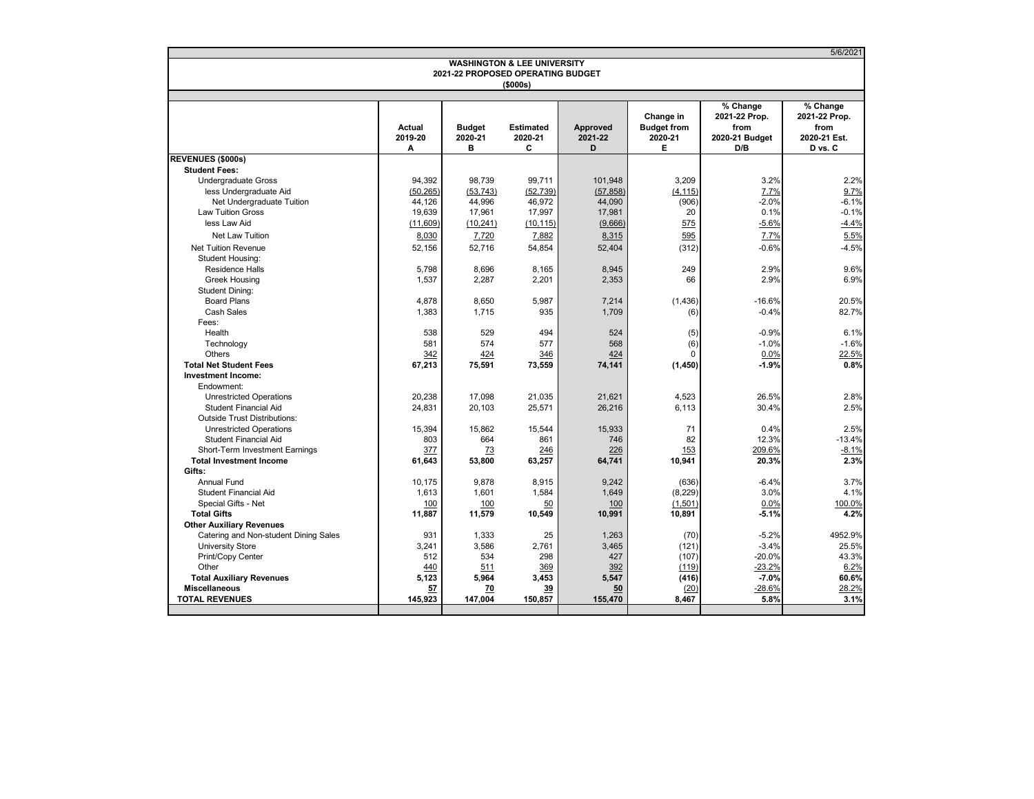| <b>REVENUES (\$000s)</b><br><b>Student Fees:</b>   | Actual          | 2021-22 PROPOSED OPERATING BUDGET | <b>WASHINGTON &amp; LEE UNIVERSITY</b><br>$($ \$000s $)$ |                |                     |                 |               |
|----------------------------------------------------|-----------------|-----------------------------------|----------------------------------------------------------|----------------|---------------------|-----------------|---------------|
|                                                    |                 |                                   |                                                          |                |                     |                 |               |
|                                                    |                 |                                   |                                                          |                |                     |                 |               |
|                                                    |                 |                                   |                                                          |                |                     |                 |               |
|                                                    |                 |                                   |                                                          |                |                     | % Change        | % Change      |
|                                                    |                 |                                   |                                                          |                | Change in           | 2021-22 Prop.   | 2021-22 Prop. |
|                                                    |                 | <b>Budget</b>                     | <b>Estimated</b>                                         | Approved       | <b>Budget from</b>  | from            | from          |
|                                                    | 2019-20         | 2020-21                           | 2020-21                                                  | 2021-22        | 2020-21             | 2020-21 Budget  | 2020-21 Est.  |
|                                                    | А               | в                                 | C                                                        | D              | Е.                  | D/B             | D vs. C       |
|                                                    |                 |                                   |                                                          |                |                     |                 |               |
|                                                    |                 |                                   |                                                          |                |                     |                 |               |
| <b>Undergraduate Gross</b>                         | 94,392          | 98.739                            | 99.711                                                   | 101.948        | 3.209               | 3.2%            | 2.2%          |
| less Undergraduate Aid                             | (50, 265)       | (53, 743)                         | (52, 739)                                                | (57, 858)      | (4, 115)            | 7.7%            | 9.7%          |
| Net Undergraduate Tuition                          | 44,126          | 44,996                            | 46,972                                                   | 44,090         | (906)               | $-2.0%$         | $-6.1%$       |
| <b>Law Tuition Gross</b>                           | 19,639          | 17,961                            | 17,997                                                   | 17,981         | 20                  | 0.1%            | $-0.1%$       |
| less Law Aid                                       | (11,609)        | (10, 241)                         | (10, 115)                                                | (9,666)        | 575                 | $-5.6%$         | $-4.4%$       |
| <b>Net Law Tuition</b>                             | 8,030           | 7,720                             | 7,882                                                    | 8,315          | 595                 | 7.7%            | 5.5%          |
| <b>Net Tuition Revenue</b>                         | 52,156          | 52.716                            | 54,854                                                   | 52,404         | (312)               | $-0.6%$         | $-4.5%$       |
| <b>Student Housing:</b>                            |                 |                                   |                                                          |                |                     |                 |               |
| <b>Residence Halls</b>                             | 5.798           | 8.696                             | 8,165                                                    | 8,945          | 249                 | 2.9%            | 9.6%          |
| <b>Greek Housing</b>                               | 1.537           | 2.287                             | 2.201                                                    | 2,353          | 66                  | 2.9%            | 6.9%          |
| <b>Student Dining:</b>                             |                 |                                   |                                                          |                |                     |                 |               |
| <b>Board Plans</b>                                 | 4,878           | 8,650                             | 5,987                                                    | 7,214          | (1, 436)            | $-16.6%$        | 20.5%         |
| Cash Sales                                         | 1,383           | 1,715                             | 935                                                      | 1,709          | (6)                 | $-0.4%$         | 82.7%         |
| Fees:                                              |                 |                                   |                                                          |                |                     |                 |               |
| Health                                             | 538             | 529                               | 494                                                      | 524            | (5)                 | $-0.9%$         | 6.1%          |
| Technology                                         | 581             | 574                               | 577                                                      | 568            | (6)                 | $-1.0%$         | $-1.6%$       |
| Others                                             | 342             | 424                               | 346                                                      | 424            | $\Omega$            | 0.0%            | 22.5%         |
| <b>Total Net Student Fees</b>                      | 67,213          | 75,591                            | 73,559                                                   | 74,141         | (1, 450)            | $-1.9%$         | 0.8%          |
| <b>Investment Income:</b>                          |                 |                                   |                                                          |                |                     |                 |               |
| Endowment:                                         |                 |                                   |                                                          |                |                     |                 |               |
| <b>Unrestricted Operations</b>                     | 20,238          | 17,098                            | 21,035                                                   | 21,621         | 4,523               | 26.5%           | 2.8%          |
| <b>Student Financial Aid</b>                       | 24,831          | 20,103                            | 25,571                                                   | 26,216         | 6.113               | 30.4%           | 2.5%          |
| <b>Outside Trust Distributions:</b>                |                 |                                   |                                                          |                |                     |                 |               |
| <b>Unrestricted Operations</b>                     | 15,394          | 15.862                            | 15.544                                                   | 15,933         | 71                  | 0.4%            | 2.5%          |
| <b>Student Financial Aid</b>                       | 803             | 664                               | 861                                                      | 746            | 82                  | 12.3%           | $-13.4%$      |
| Short-Term Investment Earnings                     | 377             | 73                                | 246                                                      | 226            | 153                 | 209.6%          | $-8.1%$       |
| <b>Total Investment Income</b>                     | 61,643          | 53,800                            | 63,257                                                   | 64,741         | 10,941              | 20.3%           | 2.3%          |
| Gifts:                                             |                 |                                   |                                                          |                |                     |                 |               |
| <b>Annual Fund</b><br><b>Student Financial Aid</b> | 10,175<br>1,613 | 9,878<br>1,601                    | 8,915<br>1,584                                           | 9,242<br>1,649 | (636)               | $-6.4%$<br>3.0% | 3.7%<br>4.1%  |
| Special Gifts - Net                                | 100             | 100                               |                                                          | 100            | (8, 229)<br>(1,501) | 0.0%            | 100.0%        |
| <b>Total Gifts</b>                                 | 11,887          | 11,579                            | 50<br>10,549                                             | 10,991         | 10,891              | $-5.1%$         | 4.2%          |
| <b>Other Auxiliary Revenues</b>                    |                 |                                   |                                                          |                |                     |                 |               |
| Catering and Non-student Dining Sales              | 931             | 1,333                             | 25                                                       | 1,263          | (70)                | $-5.2%$         | 4952.9%       |
| <b>University Store</b>                            | 3,241           | 3,586                             | 2,761                                                    | 3,465          | (121)               | $-3.4%$         | 25.5%         |
| Print/Copy Center                                  | 512             | 534                               | 298                                                      | 427            | (107)               | $-20.0%$        | 43.3%         |
| Other                                              | 440             | 511                               | 369                                                      | 392            | (119)               | $-23.2%$        | 6.2%          |
| <b>Total Auxiliary Revenues</b>                    | 5,123           | 5,964                             | 3,453                                                    | 5,547          | (416)               | $-7.0%$         | 60.6%         |
| <b>Miscellaneous</b>                               | 57              | 70                                | 39                                                       | 50             | (20)                | $-28.6%$        | 28.2%         |
| <b>TOTAL REVENUES</b>                              | 145.923         | 147.004                           | 150.857                                                  | 155,470        | 8.467               | 5.8%            | 3.1%          |